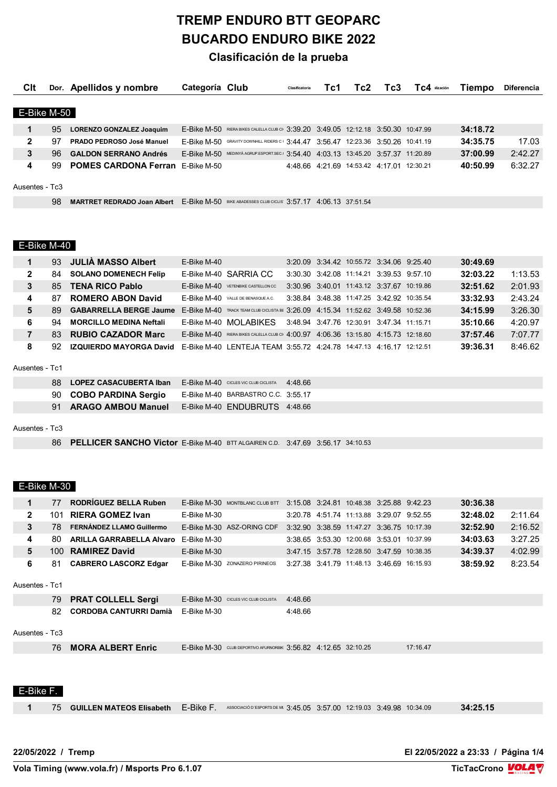# **TREMP ENDURO BTT GEOPARC BUCARDO ENDURO BIKE 2022**

### **Clasificación de la prueba**

| Clt            |     | Dor. Apellidos y nombre                                                                            | Categoría Club |                                                                                    | Clasificatoria | Tc1 | Tc2                                       | Tc3 | TC4 ilización | Tiempo   | <b>Diferencia</b> |
|----------------|-----|----------------------------------------------------------------------------------------------------|----------------|------------------------------------------------------------------------------------|----------------|-----|-------------------------------------------|-----|---------------|----------|-------------------|
|                |     |                                                                                                    |                |                                                                                    |                |     |                                           |     |               |          |                   |
| E-Bike M-50    |     |                                                                                                    |                |                                                                                    |                |     |                                           |     |               |          |                   |
|                | 95  | <b>LORENZO GONZALEZ Joaquim</b>                                                                    |                | E-Bike M-50 RIERA BIKES CALELLA CLUB CI: 3:39.20 3:49.05 12:12.18 3:50.30 10:47.99 |                |     |                                           |     |               | 34:18.72 |                   |
| $\mathbf{2}$   | 97  | PRADO PEDROSO José Manuel                                                                          |                | E-Bike M-50 GRAVITY DOWNHILL RIDERS C 3:44.47 3:56.47 12:23.36 3:50.26 10:41.19    |                |     |                                           |     |               | 34:35.75 | 17.03             |
| 3              | 96. | <b>GALDON SERRANO Andrés</b>                                                                       |                | E-Bike M-50 MEDINYA AGRUP.ESPORT.SEC. 3:54.40 4:03.13 13:45.20 3:57.37 11:20.89    |                |     |                                           |     |               | 37:00.99 | 2:42.27           |
| 4              |     | 99 POMES CARDONA Ferran E-Bike M-50                                                                |                |                                                                                    |                |     | 4:48.66 4:21.69 14:53.42 4:17.01 12:30.21 |     |               | 40:50.99 | 6:32.27           |
|                |     |                                                                                                    |                |                                                                                    |                |     |                                           |     |               |          |                   |
| Ausentes - Tc3 |     |                                                                                                    |                |                                                                                    |                |     |                                           |     |               |          |                   |
|                | 98  | <b>MARTRET REDRADO Joan Albert</b> E-Bike M-50 BIKE ABADESSES CLUB CICLIS 3:57.17 4:06.13 37:51.54 |                |                                                                                    |                |     |                                           |     |               |          |                   |

#### E-Bike M-40

| 1              | 93  | <b>JULIA MASSO Albert</b>      | E-Bike M-40 |                                                                                   |  | 3:20.09 3:34.42 10:55.72 3:34.06 9:25.40  |  | 30:49.69 |         |
|----------------|-----|--------------------------------|-------------|-----------------------------------------------------------------------------------|--|-------------------------------------------|--|----------|---------|
| $\mathbf{2}$   | 84  | <b>SOLANO DOMENECH Felip</b>   |             | E-Bike M-40 SARRIA CC                                                             |  | 3:30.30 3:42.08 11:14.21 3:39.53 9:57.10  |  | 32:03.22 | 1:13.53 |
| 3              | 85. | <b>TENA RICO Pablo</b>         |             | E-Bike M-40 VETENBIKE CASTELLON CC                                                |  | 3:30.96 3:40.01 11:43.12 3:37.67 10:19.86 |  | 32:51.62 | 2:01.93 |
| 4              | 87  | <b>ROMERO ABON David</b>       |             | E-Bike M-40 VALLE DE BENASQUE A.C.                                                |  | 3:38.84 3:48.38 11:47.25 3:42.92 10:35.54 |  | 33:32.93 | 2:43.24 |
| 5              | 89. | <b>GABARRELLA BERGE Jaume</b>  |             | E-Bike M-40 TRACK TEAM CLUB CICLISTA BE 3:26.09 4:15.34 11:52.62 3:49.58 10:52.36 |  |                                           |  | 34:15.99 | 3:26.30 |
| 6              | 94  | <b>MORCILLO MEDINA Neftali</b> |             | E-Bike M-40 MOI ABIKES                                                            |  | 3:48.94 3:47.76 12:30.91 3:47.34 11:15.71 |  | 35:10.66 | 4:20.97 |
| 7              | 83. | <b>RUBIO CAZADOR Marc</b>      |             | E-Bike M-40 RIERA BIKES CALELLA CLUB CI 4:00.97 4:06.36 13:15.80 4:15.73 12:18.60 |  |                                           |  | 37:57.46 | 7:07.77 |
| 8              | 92. | IZQUIERDO MAYORGA David        |             | E-Bike M-40 LENTEJA TEAM 3:55.72 4:24.78 14:47.13 4:16.17 12:12.51                |  |                                           |  | 39:36.31 | 8:46.62 |
| Ausentes - Tc1 |     |                                |             |                                                                                   |  |                                           |  |          |         |

|  | 88 LOPEZ CASACUBERTA Iban | E-Bike M-40 CICLES VIC CLUB CICLISTA | 4.48.66 |
|--|---------------------------|--------------------------------------|---------|
|  | 90 COBO PARDINA Sergio    | E-Bike M-40 BARBASTRO C.C. 3:55.17   |         |
|  | 91 ARAGO AMBOU Manuel     | E-Bike M-40 ENDUBRUTS 4:48.66        |         |

#### Ausentes - Tc3

**PELLICER SANCHO Victor** E-Bike M-40 BTT ALGAIREN C.D. 3:47.69 3:56.17 34:10.53

## E-Bike M-30

| 2<br><b>RIERA GOMEZ Ivan</b><br>32:48.02<br>2:11.64<br>3:20.78 4:51.74 11:13.88 3:29.07 9:52.55<br>101<br>E-Bike M-30<br>3<br>2:16.52<br>FERNÁNDEZ LLAMO Guillermo<br>32:52.90<br>E-Bike M-30 ASZ-ORING CDF<br>78<br>3:32.90 3:38.59 11:47.27 3:36.75 10:17.39<br>3:27.25<br>4<br><b>ARILLA GARRABELLA Alvaro</b> E-Bike M-30<br>34:03.63<br>3:38.65 3:53.30 12:00.68 3:53.01 10:37.99<br>80.<br>4:02.99<br>5<br>100 RAMIREZ David<br>34:39.37<br>E-Bike M-30<br>3.47.15 3.57.78 12:28.50 3.47.59 10:38.35<br>6<br>8:23.54<br>38:59.92<br><b>CABRERO LASCORZ Edgar</b><br>E-Bike M-30 ZONAZERO PIRINEOS<br>3:27.38 3:41.79 11:48.13 3:46.69 16:15.93<br>81<br>Ausentes - Tc1<br><b>PRAT COLLELL Sergi</b><br>79<br>E-Bike M-30 CICLES VIC CLUB CICLISTA<br>4:48.66<br>82<br><b>CORDOBA CANTURRI Damià</b><br>4:48.66<br>E-Bike M-30<br>Ausentes - Tc3 |  |
|-------------------------------------------------------------------------------------------------------------------------------------------------------------------------------------------------------------------------------------------------------------------------------------------------------------------------------------------------------------------------------------------------------------------------------------------------------------------------------------------------------------------------------------------------------------------------------------------------------------------------------------------------------------------------------------------------------------------------------------------------------------------------------------------------------------------------------------------------------|--|
|                                                                                                                                                                                                                                                                                                                                                                                                                                                                                                                                                                                                                                                                                                                                                                                                                                                       |  |
|                                                                                                                                                                                                                                                                                                                                                                                                                                                                                                                                                                                                                                                                                                                                                                                                                                                       |  |
|                                                                                                                                                                                                                                                                                                                                                                                                                                                                                                                                                                                                                                                                                                                                                                                                                                                       |  |
|                                                                                                                                                                                                                                                                                                                                                                                                                                                                                                                                                                                                                                                                                                                                                                                                                                                       |  |
|                                                                                                                                                                                                                                                                                                                                                                                                                                                                                                                                                                                                                                                                                                                                                                                                                                                       |  |
|                                                                                                                                                                                                                                                                                                                                                                                                                                                                                                                                                                                                                                                                                                                                                                                                                                                       |  |
|                                                                                                                                                                                                                                                                                                                                                                                                                                                                                                                                                                                                                                                                                                                                                                                                                                                       |  |
|                                                                                                                                                                                                                                                                                                                                                                                                                                                                                                                                                                                                                                                                                                                                                                                                                                                       |  |
|                                                                                                                                                                                                                                                                                                                                                                                                                                                                                                                                                                                                                                                                                                                                                                                                                                                       |  |
| <b>MORA ALBERT Enric</b><br>76<br>E-Bike M-30 CLUB DEPORTIVO AFURNORBIK 3:56.82 4:12.65 32:10.25<br>17:16.47                                                                                                                                                                                                                                                                                                                                                                                                                                                                                                                                                                                                                                                                                                                                          |  |
| E-Bike F.                                                                                                                                                                                                                                                                                                                                                                                                                                                                                                                                                                                                                                                                                                                                                                                                                                             |  |

#### 75 **GUILLEN MATEOS Elisabeth** E-Bike F. ASSOCIACIÓ D'ESPORTS DE MINTAN 3:45.05 3:57.00 12:19.03 3:49.98 10:34.09 **34:25.15**

**22/05/2022 / Tremp El 22/05/2022 a 23:33 / Página 1/4**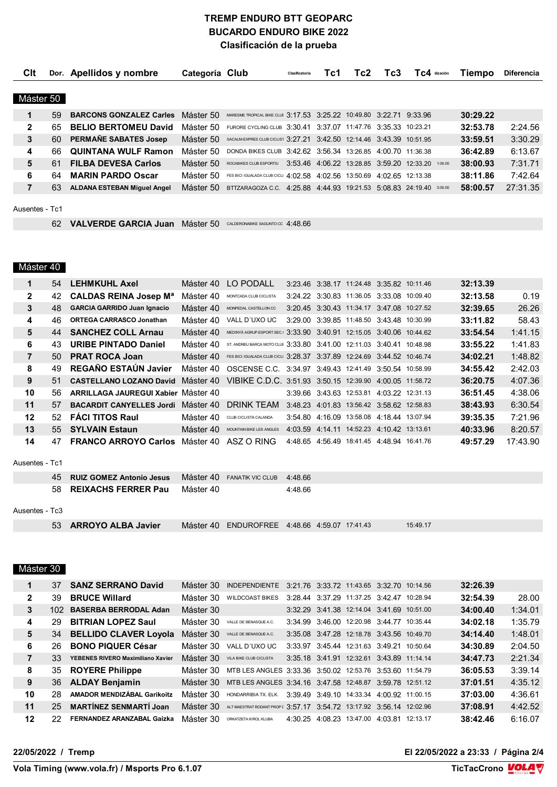#### **TREMP ENDURO BTT GEOPARC BUCARDO ENDURO BIKE 2022 Clasificación de la prueba**

| <b>C</b> lt    |     | Dor. Apellidos y nombre            | Categoría Club |                                                                        | Clasificatoria | Tc1 | Tc2 | Tc3 | TC4 ilización                                     | Tiempo   | <b>Diferencia</b> |
|----------------|-----|------------------------------------|----------------|------------------------------------------------------------------------|----------------|-----|-----|-----|---------------------------------------------------|----------|-------------------|
|                |     |                                    |                |                                                                        |                |     |     |     |                                                   |          |                   |
| Máster 50      |     |                                    |                |                                                                        |                |     |     |     |                                                   |          |                   |
| 1              | 59  | <b>BARCONS GONZALEZ Carles</b>     | Máster 50      | MARESME TROPICAL BIKE CLUE 3:17.53 3:25.22 10:49.80 3:22.71 9:33.96    |                |     |     |     |                                                   | 30:29.22 |                   |
| $\mathbf{2}$   | 65. | <b>BELIO BERTOMEU David</b>        | Máster 50      | FURORE CYCLING CLUB 3:30.41 3:37.07 11:47.76 3:35.33 10:23.21          |                |     |     |     |                                                   | 32:53.78 | 2:24.56           |
| 3              | 60. | PERMANE SABATES Josep              | Máster 50      | SACALM-EXPRES CLUB CICLIST 3:27.21 3:42.50 12:14.46 3:43.39 10:51.95   |                |     |     |     |                                                   | 33:59.51 | 3:30.29           |
| 4              | 66. | <b>QUINTANA WULF Ramon</b>         | Máster 50      | DONDA BIKES CLUB 3:42.62 3:56.34 13:26.85 4:00.70 11:36.38             |                |     |     |     |                                                   | 36:42.89 | 6:13.67           |
| 5              | 61  | <b>FILBA DEVESA Carlos</b>         | Máster 50      | ROCABIKES CLUB ESPORTIU                                                |                |     |     |     | 3:53.46 4:06.22 13:28.85 3:59.20 12:33.20 1:00.00 | 38:00.93 | 7:31.71           |
| 6              | 64  | <b>MARIN PARDO Oscar</b>           | Máster 50      | FES BICI IGUALADA CLUB CICLI 4:02.58 4:02.56 13:50.69 4:02.65 12:13.38 |                |     |     |     |                                                   | 38:11.86 | 7:42.64           |
| 7              | 63  | <b>ALDANA ESTEBAN Miguel Angel</b> | Máster 50      | BTTZARAGOZA C.C. 4:25.88 4:44.93 19:21.53 5:08.83 24:19.40 3:00.00     |                |     |     |     |                                                   | 58:00.57 | 27:31.35          |
|                |     |                                    |                |                                                                        |                |     |     |     |                                                   |          |                   |
| Ausentes - Tc1 |     |                                    |                |                                                                        |                |     |     |     |                                                   |          |                   |

**VALVERDE GARCIA Juan** Máster 50 CALDERONABIKE SAGUNTO CC 4:48.66

## Máster 40

| 1              | 54  | <b>LEHMKUHL Axel</b>                       | Máster 40 | LO PODALL                                                              |         | 3:23.46 3:38.17 11:24.48 3:35.82 10:11.46 |  | 32:13.39 |          |
|----------------|-----|--------------------------------------------|-----------|------------------------------------------------------------------------|---------|-------------------------------------------|--|----------|----------|
| $\mathbf{2}$   | 42  | <b>CALDAS REINA Josep Ma</b>               | Máster 40 | MONTCADA CLUB CICLISTA                                                 |         | 3:24.22 3:30.83 11:36.05 3:33.08 10:09.40 |  | 32:13.58 | 0.19     |
| 3              | 48  | <b>GARCIA GARRIDO Juan Ignacio</b>         | Máster 40 | MONPEDAL CASTELLON CC                                                  |         | 3:20.45 3:30.43 11:34.17 3:47.08 10:27.52 |  | 32:39.65 | 26.26    |
| 4              | 46  | <b>ORTEGA CARRASCO Jonathan</b>            | Máster 40 | VALL D'UXO UC                                                          |         | 3:29.00 3:39.85 11:48.50 3:43.48 10:30.99 |  | 33:11.82 | 58.43    |
| 5              |     | 44 SANCHEZ COLL Arnau                      | Máster 40 | MEDINYÀ AGRUP.ESPORT.SEC. 3:33.90 3:40.91 12:15.05 3:40.06 10:44.62    |         |                                           |  | 33:54.54 | 1:41.15  |
| 6              | 43. | <b>URIBE PINTADO Daniel</b>                | Máster 40 | ST. ANDREU BARCA MOTO CLUE 3:33.80 3:41.00 12:11.03 3:40.41 10:48.98   |         |                                           |  | 33:55.22 | 1:41.83  |
| $\overline{7}$ | 50  | <b>PRAT ROCA Joan</b>                      | Máster 40 | FES BICI IGUALADA CLUB CICLI 3:28.37 3:37.89 12:24.69 3:44.52 10:46.74 |         |                                           |  | 34:02.21 | 1:48.82  |
| 8              | 49  | <b>REGANO ESTAUN Javier</b>                | Máster 40 | OSCENSE C.C. 3:34.97 3:49.43 12:41.49 3:50.54 10:58.99                 |         |                                           |  | 34:55.42 | 2:42.03  |
| 9              | 51  | <b>CASTELLANO LOZANO David</b>             | Máster 40 | VIBIKE C.D.C. 3:51.93 3:50.15 12:39.90 4:00.05 11:58.72                |         |                                           |  | 36:20.75 | 4:07.36  |
| 10             | 56  | <b>ARRILLAGA JAUREGUI Xabier Máster 40</b> |           |                                                                        |         | 3:39.66 3:43.63 12:53.81 4:03.22 12:31.13 |  | 36:51.45 | 4:38.06  |
| 11             | 57  | <b>BACARDIT CANYELLES Jordi</b> Máster 40  |           | DRINK TEAM                                                             |         | 3:48.23 4:01.83 13:56.42 3:58.62 12:58.83 |  | 38:43.93 | 6:30.54  |
| 12             | 52  | <b>FACI TITOS Raul</b>                     | Máster 40 | CLUB CICLISTA CALANDA                                                  |         | 3:54.80 4:16.09 13:58.08 4:18.44 13:07.94 |  | 39:35.35 | 7:21.96  |
| 13             | 55  | <b>SYLVAIN Estaun</b>                      | Máster 40 | MOUNTAIN BIKE LES ANGLES                                               |         | 4.03.59 4.14.11 14:52.23 4:10.42 13:13.61 |  | 40:33.96 | 8:20.57  |
| 14             | 47  | <b>FRANCO ARROYO Carlos</b> Máster 40      |           | ASZ O RING                                                             |         | 4:48.65 4:56.49 18:41.45 4:48.94 16:41.76 |  | 49:57.29 | 17:43.90 |
| Ausentes - Tc1 |     |                                            |           |                                                                        |         |                                           |  |          |          |
|                | 45  | <b>RUIZ GOMEZ Antonio Jesus</b>            | Máster 40 | <b>FANATIK VIC CLUB</b>                                                | 4:48.66 |                                           |  |          |          |
|                | 58  | <b>REIXACHS FERRER Pau</b>                 | Máster 40 |                                                                        | 4:48.66 |                                           |  |          |          |

#### Ausentes - Tc3

| 53 ARROYO ALBA Javier |  | Máster 40 ENDUROFREE 4:48.66 4:59.07 17:41.43 |  |  |  | 15:49.17 |
|-----------------------|--|-----------------------------------------------|--|--|--|----------|
|-----------------------|--|-----------------------------------------------|--|--|--|----------|

## Máster 30

|    | 37  | <b>SANZ SERRANO David</b>          | Máster 30 | <b>INDEPENDIENTE</b>                                                 |  | 3:21.76 3:33.72 11:43.65 3:32.70 10:14.56 |  | 32:26.39 |         |
|----|-----|------------------------------------|-----------|----------------------------------------------------------------------|--|-------------------------------------------|--|----------|---------|
| 2  | 39  | <b>BRUCE Willard</b>               | Máster 30 | <b>WILDCOAST BIKES</b>                                               |  | 3:28.44 3:37.29 11:37.25 3:42.47 10:28.94 |  | 32:54.39 | 28.00   |
| 3  |     | 102 BASERBA BERRODAL Adan          | Máster 30 |                                                                      |  | 3:32.29 3:41.38 12:14.04 3:41.69 10:51.00 |  | 34:00.40 | 1:34.01 |
| 4  | 29  | <b>BITRIAN LOPEZ Saul</b>          | Máster 30 | VALLE DE BENASQUE A.C.                                               |  | 3:34.99 3:46.00 12:20.98 3:44.77 10:35.44 |  | 34:02.18 | 1:35.79 |
| 5  |     | 34 BELLIDO CLAVER Loyola           | Máster 30 | VALLE DE BENASQUE A.C.                                               |  | 3:35.08 3:47.28 12:18.78 3:43.56 10:49.70 |  | 34:14.40 | 1:48.01 |
| 6  | 26. | <b>BONO PIQUER César</b>           | Máster 30 | VALL D'UXO UC                                                        |  | 3:33.97 3:45.44 12:31.63 3:49.21 10:50.64 |  | 34:30.89 | 2:04.50 |
| 7  | 33  | YEBENES RIVERO Maximiliano Xavier  | Máster 30 | VILA BIKE CLUB CICLISTA                                              |  | 3:35.18 3:41.91 12:32.61 3:43.89 11:14.14 |  | 34:47.73 | 2:21.34 |
| 8  |     | 35 ROYERE Philippe                 |           | Máster 30 MTB LES ANGLES 3:33.36 3:50.02 12:53.76 3:53.60 11:54.79   |  |                                           |  | 36:05.53 | 3:39.14 |
| 9  |     | 36 ALDAY Benjamin                  |           | Máster 30 MTB LES ANGLES 3:34.16 3:47.58 12:48.87 3:59.78 12:51.12   |  |                                           |  | 37:01.51 | 4:35.12 |
| 10 | 28  | <b>AMADOR MENDIZÁBAL Garikoitz</b> | Máster 30 | HONDARRIBIA TX. ELK.                                                 |  | 3:39.49 3:49.10 14:33.34 4:00.92 11:00.15 |  | 37:03.00 | 4:36.61 |
| 11 | 25  | <b>MARTÍNEZ SENMARTÍ Joan</b>      | Máster 30 | ALT MAESTRAT RODANT PROP [ 3:57.17 3:54.72 13:17.92 3:56.14 12:02.96 |  |                                           |  | 37:08.91 | 4:42.52 |
| 12 | 22. | <b>FERNANDEZ ARANZABAL Gaizka</b>  | Máster 30 | ORKATZETA KIROL KLUBA                                                |  | 4:30.25 4:08.23 13:47.00 4:03.81 12:13.17 |  | 38:42.46 | 6:16.07 |

**22/05/2022 / Tremp El 22/05/2022 a 23:33 / Página 2/4**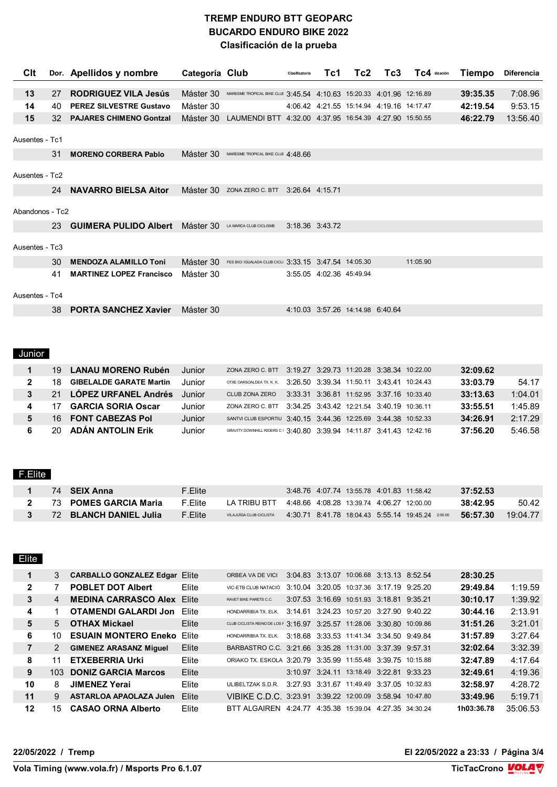### **TREMP ENDURO BTT GEOPARC BUCARDO ENDURO BIKE 2022 Clasificación de la prueba**

| Clt             |    | Dor. Apellidos y nombre         | Categoría Club |                                                                      | Clasificatoria  | Tc1                      | Tc2.                                      | Tc3 | TC4 ilización | <b>Tiempo</b> | <b>Diferencia</b> |
|-----------------|----|---------------------------------|----------------|----------------------------------------------------------------------|-----------------|--------------------------|-------------------------------------------|-----|---------------|---------------|-------------------|
|                 |    |                                 |                |                                                                      |                 |                          |                                           |     |               |               |                   |
| 13              | 27 | <b>RODRIGUEZ VILA Jesús</b>     | Máster 30      | MARESME TROPICAL BIKE CLUE 3:45.54 4:10.63 15:20.33 4:01.96 12:16.89 |                 |                          |                                           |     |               | 39:35.35      | 7:08.96           |
| 14              | 40 | <b>PEREZ SILVESTRE Gustavo</b>  | Máster 30      |                                                                      |                 |                          | 4:06.42 4:21.55 15:14.94 4:19.16 14:17.47 |     |               | 42:19.54      | 9:53.15           |
| 15              | 32 | <b>PAJARES CHIMENO Gontzal</b>  | Máster 30      | LAUMENDI BTT 4:32.00 4:37.95 16:54.39 4:27.90 15:50.55               |                 |                          |                                           |     |               | 46:22.79      | 13:56.40          |
|                 |    |                                 |                |                                                                      |                 |                          |                                           |     |               |               |                   |
| Ausentes - Tc1  |    |                                 |                |                                                                      |                 |                          |                                           |     |               |               |                   |
|                 | 31 | <b>MORENO CORBERA Pablo</b>     | Máster 30      | MARESME TROPICAL BIKE CLUE 4.48 66                                   |                 |                          |                                           |     |               |               |                   |
|                 |    |                                 |                |                                                                      |                 |                          |                                           |     |               |               |                   |
| Ausentes - Tc2  |    |                                 |                |                                                                      |                 |                          |                                           |     |               |               |                   |
|                 | 24 | <b>NAVARRO BIELSA Aitor</b>     | Máster 30      | ZONA ZERO C. BTT                                                     | 3:26.64 4:15.71 |                          |                                           |     |               |               |                   |
|                 |    |                                 |                |                                                                      |                 |                          |                                           |     |               |               |                   |
| Abandonos - Tc2 |    |                                 |                |                                                                      |                 |                          |                                           |     |               |               |                   |
|                 | 23 | <b>GUIMERA PULIDO Albert</b>    | Máster 30      | LA MARCA CLUB CICLISME                                               | 3:18.36 3:43.72 |                          |                                           |     |               |               |                   |
|                 |    |                                 |                |                                                                      |                 |                          |                                           |     |               |               |                   |
| Ausentes - Tc3  |    |                                 |                |                                                                      |                 |                          |                                           |     |               |               |                   |
|                 | 30 | <b>MENDOZA ALAMILLO Toni</b>    | Máster 30      | FES BICI IGUALADA CLUB CICLI 3:33.15 3:47.54 14:05.30                |                 |                          |                                           |     | 11:05.90      |               |                   |
|                 | 41 | <b>MARTINEZ LOPEZ Francisco</b> | Máster 30      |                                                                      |                 | 3:55.05 4:02.36 45:49.94 |                                           |     |               |               |                   |
|                 |    |                                 |                |                                                                      |                 |                          |                                           |     |               |               |                   |
| Ausentes - Tc4  |    |                                 |                |                                                                      |                 |                          |                                           |     |               |               |                   |
|                 | 38 | <b>PORTA SANCHEZ Xavier</b>     | Máster 30      |                                                                      |                 |                          | 4:10.03 3:57.26 14:14.98 6:40.64          |     |               |               |                   |

# Junior

| 19. | LANAU MORENO Rubén             | Junior        | ZONA ZERO C. BTT                                                    |  | 3:19.27 3:29.73 11:20.28 3:38.34 10:22.00 |  | 32:09.62 |         |
|-----|--------------------------------|---------------|---------------------------------------------------------------------|--|-------------------------------------------|--|----------|---------|
| 18. | <b>GIBELALDE GARATE Martin</b> | Junior        | OTXE OARSOALDEA TX. K. K.                                           |  | 3:26.50 3:39.34 11:50.11 3:43.41 10:24.43 |  | 33:03.79 | 54.17   |
|     | 21 LOPEZ URFANEL Andrés        | <b>Junior</b> | CLUB ZONA ZERO                                                      |  | 3:33.31 3:36.81 11:52.95 3:37.16 10:33.40 |  | 33:13.63 | 1:04.01 |
|     | <b>GARCIA SORIA Oscar</b>      | Junior        | ZONA ZERO C. BTT 3:34.25 3:43.42 12:21.54 3:40.19 10:36.11          |  |                                           |  | 33:55.51 | 1:45.89 |
| 16  | <b>FONT CABEZAS Pol</b>        | Junior        | SANTVI CLUB ESPORTIU 3:40.15 3:44.36 12:25.69 3:44.38 10:52.33      |  |                                           |  | 34:26.91 | 2:17.29 |
| 20  | <b>ADAN ANTOLIN Erik</b>       | Junior        | GRAVITY DOWNHILL RIDERS C 3:40.80 3:39.94 14:11.87 3:41.43 12:42.16 |  |                                           |  | 37:56.20 | 5:46.58 |

#### F.Elite

|  | 74 SEIX Anna            | $F.E$ lite |                                                   | 3:48.76 4:07.74 13:55.78 4:01.83 11:58.42 |  |                                                   | 37:52.53 |            |
|--|-------------------------|------------|---------------------------------------------------|-------------------------------------------|--|---------------------------------------------------|----------|------------|
|  | 2 73 POMES GARCIA Maria | F Flite    | LA TRIBU BTT 44866 40828 13:39.74 406 27 12:00.00 |                                           |  |                                                   | 38:42.95 | 50.42      |
|  | 72 BLANCH DANIEL Julia  | F.Elite    | VILAJUÏGA CLUB CICLISTA                           |                                           |  | 4:30.71 8:41.78 18:04.43 5:55.14 19:45.24 2:00.00 | 56:57.30 | $19.04$ 77 |

| Elite   |                |                                      |       |                                                                        |  |                                           |         |            |          |
|---------|----------------|--------------------------------------|-------|------------------------------------------------------------------------|--|-------------------------------------------|---------|------------|----------|
| 1       | 3              | <b>CARBALLO GONZALEZ Edgar Elite</b> |       | ORBEA VA DE VICI                                                       |  | 3:04.83 3:13.07 10:06.68 3:13.13 8:52.54  |         | 28:30.25   |          |
| 2       |                | <b>POBLET DOT Albert</b>             | Elite | VIC-ETB CLUB NATACIÓ                                                   |  | 3:10.04 3:20.05 10:37.36 3:17.19          | 9:25.20 | 29:49.84   | 1:19.59  |
| 3       | $\overline{4}$ | <b>MEDINA CARRASCO Alex Elite</b>    |       | RAVET BIKE PARETS C.C.                                                 |  | 3.07.53 3.16.69 10.51.93 3.18.81 9.35.21  |         | 30:10.17   | 1:39.92  |
| 4       |                | <b>OTAMENDI GALARDI Jon</b>          | Elite | HONDARRIBIA TX, ELK.                                                   |  | 3:14.61 3:24.23 10:57.20 3:27.90 9:40.22  |         | 30:44.16   | 2:13.91  |
| 5       | 5              | <b>OTHAX Mickael</b>                 | Elite | CLUB CICLISTA REINO DE LOS 1 3:16.97 3:25.57 11:28.06 3:30.80 10:09.86 |  |                                           |         | 31:51.26   | 3:21.01  |
| 6       | 10             | <b>ESUAIN MONTERO Eneko Elite</b>    |       | HONDARRIBIA TX, ELK.                                                   |  | 3:18.68 3:33.53 11:41.34 3:34.50 9:49.84  |         | 31:57.89   | 3:27.64  |
| 7       | $\mathcal{P}$  | <b>GIMENEZ ARASANZ Miquel</b>        | Elite | BARBASTRO C.C. 3:21.66 3:35.28 11:31.00 3:37.39 9:57.31                |  |                                           |         | 32:02.64   | 3:32.39  |
| 8       | 11             | <b>ETXEBERRIA Urki</b>               | Elite | ORIAKO TX. ESKOLA 3:20.79 3:35.99 11:55.48 3:39.75 10:15.88            |  |                                           |         | 32:47.89   | 4:17.64  |
| 9       |                | 103 DONIZ GARCIA Marcos              | Elite |                                                                        |  | 3:10.97 3:24.11 13:18.49 3:22.81 9:33.23  |         | 32:49.61   | 4:19.36  |
| 10      | 8.             | <b>JIMENEZ Yerai</b>                 | Elite | ULIBELTZAK S.D.R.                                                      |  | 3:27.93 3:31.67 11:49.49 3:37.05 10:32.83 |         | 32:58.97   | 4:28.72  |
| 11      | 9              | <b>ASTARLOA APAOLAZA Julen</b>       | Elite | VIBIKE C.D.C. 3:23.91 3:39.22 12:00.09 3:58.94 10:47.80                |  |                                           |         | 33:49.96   | 5:19.71  |
| $12 \,$ | 15.            | <b>CASAO ORNA Alberto</b>            | Elite | BTT ALGAIREN 4.24.77 4.35.38 15:39.04 4.27.35 34:30.24                 |  |                                           |         | 1h03:36.78 | 35:06.53 |

**22/05/2022 / Tremp El 22/05/2022 a 23:33 / Página 3/4**